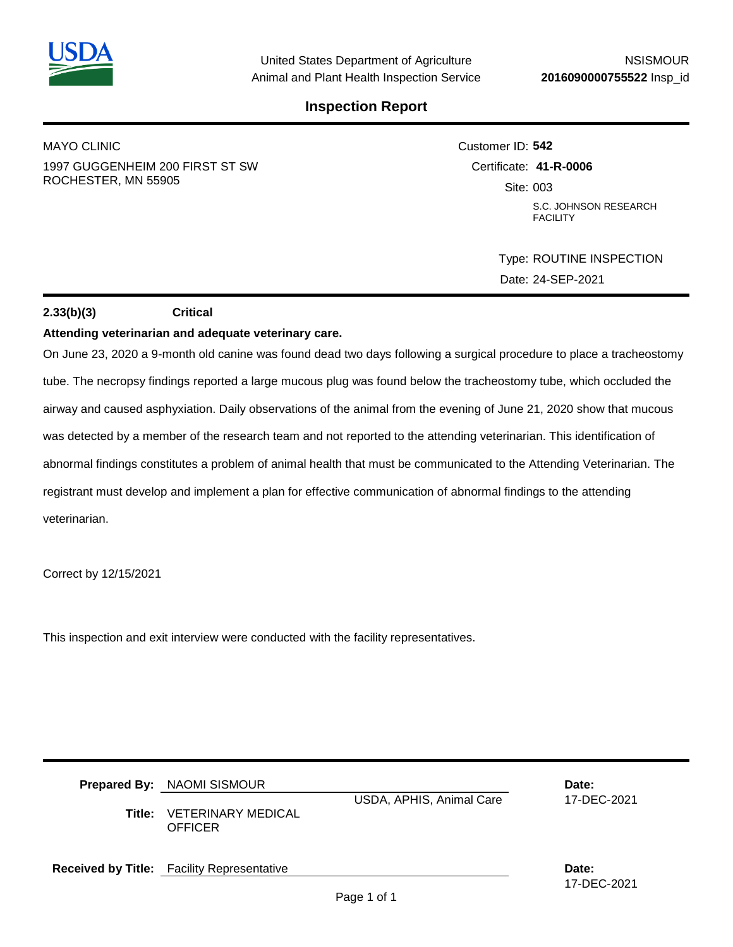

## **Inspection Report**

MAYO CLINIC 1997 GUGGENHEIM 200 FIRST ST SW ROCHESTER, MN 55905

Customer ID: **542** Certificate: **41-R-0006**  Site: 003 S.C. JOHNSON RESEARCH **FACILITY** 

> Type: ROUTINE INSPECTION Date: 24-SEP-2021

## **2.33(b)(3) Critical**

## **Attending veterinarian and adequate veterinary care.**

On June 23, 2020 a 9-month old canine was found dead two days following a surgical procedure to place a tracheostomy tube. The necropsy findings reported a large mucous plug was found below the tracheostomy tube, which occluded the airway and caused asphyxiation. Daily observations of the animal from the evening of June 21, 2020 show that mucous was detected by a member of the research team and not reported to the attending veterinarian. This identification of abnormal findings constitutes a problem of animal health that must be communicated to the Attending Veterinarian. The registrant must develop and implement a plan for effective communication of abnormal findings to the attending veterinarian.

Correct by 12/15/2021

This inspection and exit interview were conducted with the facility representatives.

| Title: | <b>Prepared By: NAOMI SISMOUR</b><br><b>VETERINARY MEDICAL</b><br>OFFICER | USDA, APHIS, Animal Care | Date:<br>17-DEC-2021 |
|--------|---------------------------------------------------------------------------|--------------------------|----------------------|
|        | <b>Received by Title:</b> Facility Representative                         |                          | Date:<br>17-DEC-2021 |